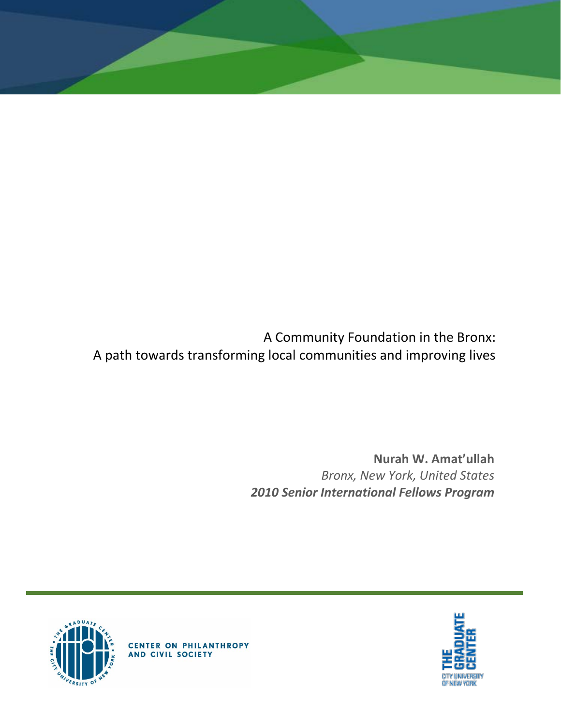A Community Foundation in the Bronx: A path towards transforming local communities and improving lives

> **Nurah W. Amat'ullah** *Bronx, New York, United States 2010 Senior International Fellows Program*





**CENTER ON PHILANTHROPY**<br>AND CIVIL SOCIETY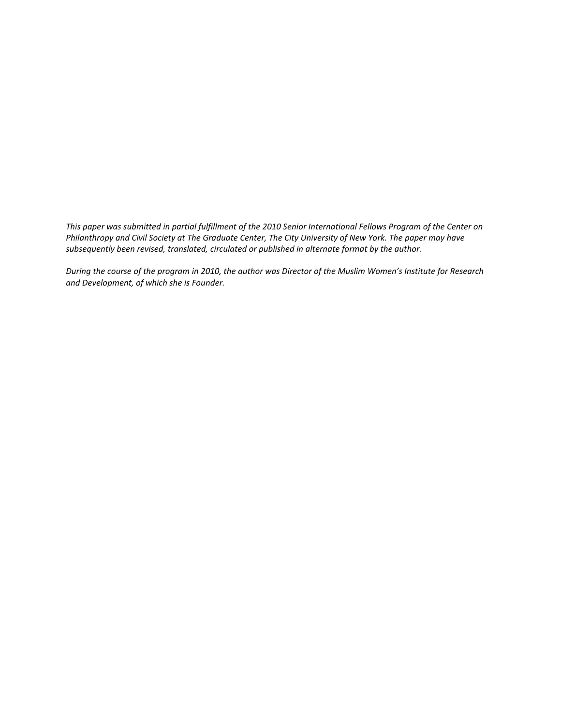*This paper was submitted in partial fulfillment of the 2010 Senior International Fellows Program of the Center on Philanthropy and Civil Society at The Graduate Center, The City University of New York. The paper may have subsequently been revised, translated, circulated or published in alternate format by the author.*

*During the course of the program in 2010, the author was Director of the Muslim Women's Institute for Research and Development, of which she is Founder.*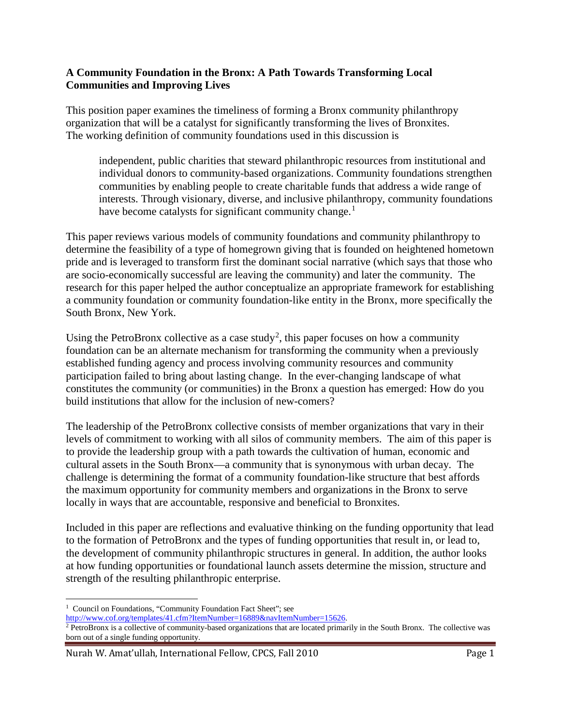#### **A Community Foundation in the Bronx: A Path Towards Transforming Local Communities and Improving Lives**

This position paper examines the timeliness of forming a Bronx community philanthropy organization that will be a catalyst for significantly transforming the lives of Bronxites. The working definition of community foundations used in this discussion is

independent, public charities that steward philanthropic resources from institutional and individual donors to community-based organizations. Community foundations strengthen communities by enabling people to create charitable funds that address a wide range of interests. Through visionary, diverse, and inclusive philanthropy, community foundations have become catalysts for significant community change.<sup>[1](#page-2-0)</sup>

This paper reviews various models of community foundations and community philanthropy to determine the feasibility of a type of homegrown giving that is founded on heightened hometown pride and is leveraged to transform first the dominant social narrative (which says that those who are socio-economically successful are leaving the community) and later the community. The research for this paper helped the author conceptualize an appropriate framework for establishing a community foundation or community foundation-like entity in the Bronx, more specifically the South Bronx, New York.

Using the PetroBronx collective as a case study<sup>[2](#page-2-1)</sup>, this paper focuses on how a community foundation can be an alternate mechanism for transforming the community when a previously established funding agency and process involving community resources and community participation failed to bring about lasting change. In the ever-changing landscape of what constitutes the community (or communities) in the Bronx a question has emerged: How do you build institutions that allow for the inclusion of new-comers?

The leadership of the PetroBronx collective consists of member organizations that vary in their levels of commitment to working with all silos of community members. The aim of this paper is to provide the leadership group with a path towards the cultivation of human, economic and cultural assets in the South Bronx—a community that is synonymous with urban decay. The challenge is determining the format of a community foundation-like structure that best affords the maximum opportunity for community members and organizations in the Bronx to serve locally in ways that are accountable, responsive and beneficial to Bronxites.

Included in this paper are reflections and evaluative thinking on the funding opportunity that lead to the formation of PetroBronx and the types of funding opportunities that result in, or lead to, the development of community philanthropic structures in general. In addition, the author looks at how funding opportunities or foundational launch assets determine the mission, structure and strength of the resulting philanthropic enterprise.

 $\overline{\phantom{a}}$ 

<span id="page-2-0"></span><sup>&</sup>lt;sup>1</sup> Council on Foundations, "Community Foundation Fact Sheet"; see<br>http://www.cof.org/templates/41.cfm?ItemNumber=16889&navItemNumber=15626.

<span id="page-2-1"></span> $\frac{1}{2}$  PetroBronx is a collective of community-based organizations that are located primarily in the South Bronx. The collective was born out of a single funding opportunity.

Nurah W. Amat'ullah, International Fellow, CPCS, Fall 2010 **Page 1** Page 1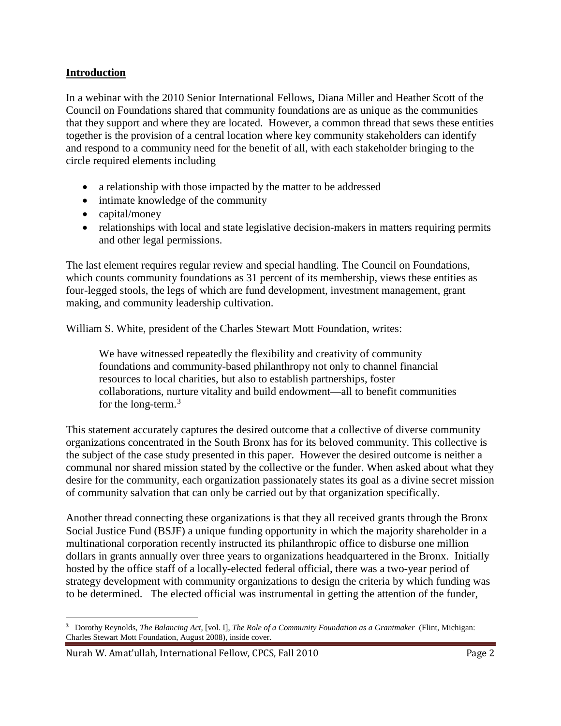#### **Introduction**

In a webinar with the 2010 Senior International Fellows, Diana Miller and Heather Scott of the Council on Foundations shared that community foundations are as unique as the communities that they support and where they are located. However, a common thread that sews these entities together is the provision of a central location where key community stakeholders can identify and respond to a community need for the benefit of all, with each stakeholder bringing to the circle required elements including

- a relationship with those impacted by the matter to be addressed
- intimate knowledge of the community
- capital/money
- relationships with local and state legislative decision-makers in matters requiring permits and other legal permissions.

The last element requires regular review and special handling. The Council on Foundations, which counts community foundations as 31 percent of its membership, views these entities as four-legged stools, the legs of which are fund development, investment management, grant making, and community leadership cultivation.

William S. White, president of the Charles Stewart Mott Foundation, writes:

We have witnessed repeatedly the flexibility and creativity of community foundations and community-based philanthropy not only to channel financial resources to local charities, but also to establish partnerships, foster collaborations, nurture vitality and build endowment—all to benefit communities for the long-term.<sup>[3](#page-3-0)</sup>

This statement accurately captures the desired outcome that a collective of diverse community organizations concentrated in the South Bronx has for its beloved community. This collective is the subject of the case study presented in this paper. However the desired outcome is neither a communal nor shared mission stated by the collective or the funder. When asked about what they desire for the community, each organization passionately states its goal as a divine secret mission of community salvation that can only be carried out by that organization specifically.

Another thread connecting these organizations is that they all received grants through the Bronx Social Justice Fund (BSJF) a unique funding opportunity in which the majority shareholder in a multinational corporation recently instructed its philanthropic office to disburse one million dollars in grants annually over three years to organizations headquartered in the Bronx. Initially hosted by the office staff of a locally-elected federal official, there was a two-year period of strategy development with community organizations to design the criteria by which funding was to be determined. The elected official was instrumental in getting the attention of the funder,

<span id="page-3-0"></span>**<sup>3</sup>** Dorothy Reynolds, *The Balancing Act,* [vol. I], *The Role of a Community Foundation as a Grantmaker* (Flint, Michigan: Charles Stewart Mott Foundation, August 2008), inside cover.  $\overline{\phantom{a}}$ 

Nurah W. Amat'ullah, International Fellow, CPCS, Fall 2010 **Page 2** Page 2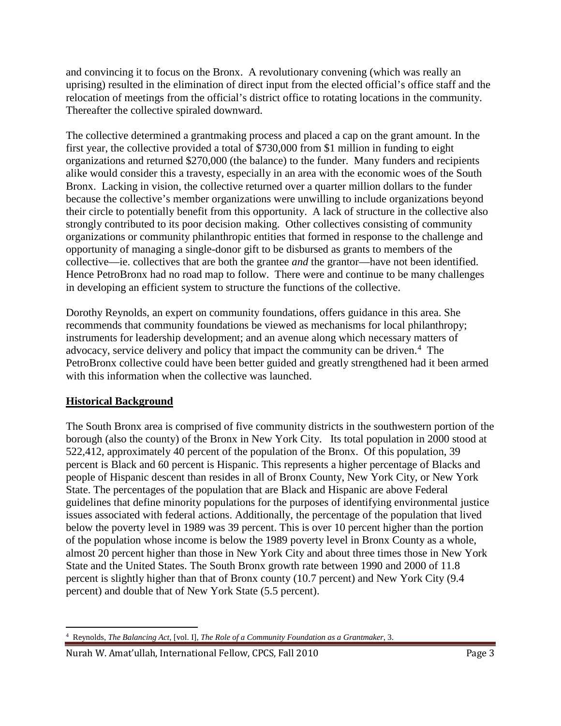and convincing it to focus on the Bronx. A revolutionary convening (which was really an uprising) resulted in the elimination of direct input from the elected official's office staff and the relocation of meetings from the official's district office to rotating locations in the community. Thereafter the collective spiraled downward.

The collective determined a grantmaking process and placed a cap on the grant amount. In the first year, the collective provided a total of \$730,000 from \$1 million in funding to eight organizations and returned \$270,000 (the balance) to the funder. Many funders and recipients alike would consider this a travesty, especially in an area with the economic woes of the South Bronx. Lacking in vision, the collective returned over a quarter million dollars to the funder because the collective's member organizations were unwilling to include organizations beyond their circle to potentially benefit from this opportunity. A lack of structure in the collective also strongly contributed to its poor decision making. Other collectives consisting of community organizations or community philanthropic entities that formed in response to the challenge and opportunity of managing a single-donor gift to be disbursed as grants to members of the collective—ie. collectives that are both the grantee *and* the grantor—have not been identified. Hence PetroBronx had no road map to follow. There were and continue to be many challenges in developing an efficient system to structure the functions of the collective.

Dorothy Reynolds, an expert on community foundations, offers guidance in this area. She recommends that community foundations be viewed as mechanisms for local philanthropy; instruments for leadership development; and an avenue along which necessary matters of advocacy, service delivery and policy that impact the community can be driven.<sup>[4](#page-4-0)</sup> The PetroBronx collective could have been better guided and greatly strengthened had it been armed with this information when the collective was launched.

## **Historical Background**

The South Bronx area is comprised of five community districts in the southwestern portion of the borough (also the county) of the Bronx in New York City. Its total population in 2000 stood at 522,412, approximately 40 percent of the population of the Bronx. Of this population, 39 percent is Black and 60 percent is Hispanic. This represents a higher percentage of Blacks and people of Hispanic descent than resides in all of Bronx County, New York City, or New York State. The percentages of the population that are Black and Hispanic are above Federal guidelines that define minority populations for the purposes of identifying environmental justice issues associated with federal actions. Additionally, the percentage of the population that lived below the poverty level in 1989 was 39 percent. This is over 10 percent higher than the portion of the population whose income is below the 1989 poverty level in Bronx County as a whole, almost 20 percent higher than those in New York City and about three times those in New York State and the United States. The South Bronx growth rate between 1990 and 2000 of 11.8 percent is slightly higher than that of Bronx county (10.7 percent) and New York City (9.4 percent) and double that of New York State (5.5 percent).

<span id="page-4-0"></span><sup>4</sup> Reynolds, *The Balancing Act,* [vol. I], *The Role of a Community Foundation as a Grantmaker*, 3.  $\overline{\phantom{a}}$ 

Nurah W. Amat'ullah, International Fellow, CPCS, Fall 2010 **Page 3** Page 3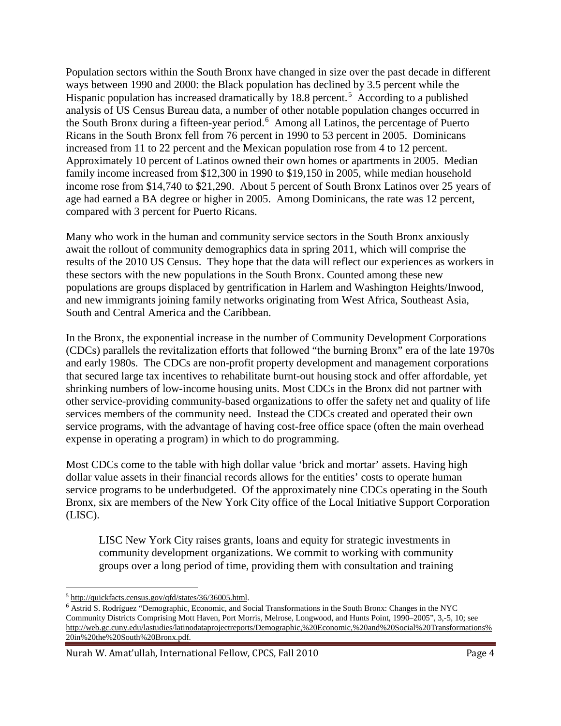Population sectors within the South Bronx have changed in size over the past decade in different ways between 1990 and 2000: the Black population has declined by 3.5 percent while the Hispanic population has increased dramatically by 18.8 percent.<sup>[5](#page-5-0)</sup> According to a published analysis of US Census Bureau data, a number of other notable population changes occurred in the South Bronx during a fifteen-year period.<sup>[6](#page-5-1)</sup> Among all Latinos, the percentage of Puerto Ricans in the South Bronx fell from 76 percent in 1990 to 53 percent in 2005. Dominicans increased from 11 to 22 percent and the Mexican population rose from 4 to 12 percent. Approximately 10 percent of Latinos owned their own homes or apartments in 2005. Median family income increased from \$12,300 in 1990 to \$19,150 in 2005, while median household income rose from \$14,740 to \$21,290. About 5 percent of South Bronx Latinos over 25 years of age had earned a BA degree or higher in 2005. Among Dominicans, the rate was 12 percent, compared with 3 percent for Puerto Ricans.

Many who work in the human and community service sectors in the South Bronx anxiously await the rollout of community demographics data in spring 2011, which will comprise the results of the 2010 US Census. They hope that the data will reflect our experiences as workers in these sectors with the new populations in the South Bronx. Counted among these new populations are groups displaced by gentrification in Harlem and Washington Heights/Inwood, and new immigrants joining family networks originating from West Africa, Southeast Asia, South and Central America and the Caribbean.

In the Bronx, the exponential increase in the number of Community Development Corporations (CDCs) parallels the revitalization efforts that followed "the burning Bronx" era of the late 1970s and early 1980s. The CDCs are non-profit property development and management corporations that secured large tax incentives to rehabilitate burnt-out housing stock and offer affordable, yet shrinking numbers of low-income housing units. Most CDCs in the Bronx did not partner with other service-providing community-based organizations to offer the safety net and quality of life services members of the community need. Instead the CDCs created and operated their own service programs, with the advantage of having cost-free office space (often the main overhead expense in operating a program) in which to do programming.

Most CDCs come to the table with high dollar value 'brick and mortar' assets. Having high dollar value assets in their financial records allows for the entities' costs to operate human service programs to be underbudgeted. Of the approximately nine CDCs operating in the South Bronx, six are members of the New York City office of the Local Initiative Support Corporation (LISC).

LISC New York City raises grants, loans and equity for strategic investments in community development organizations. We commit to working with community groups over a long period of time, providing them with consultation and training

<span id="page-5-0"></span><sup>5</sup> [http://quickfacts.census.gov/qfd/states/36/36005.html.](http://quickfacts.census.gov/qfd/states/36/36005.html) l

<span id="page-5-1"></span><sup>6</sup> Astrid S. Rodríguez "Demographic, Economic, and Social Transformations in the South Bronx: Changes in the NYC Community Districts Comprising Mott Haven, Port Morris, Melrose, Longwood, and Hunts Point, 1990–2005", 3,-5, 10; see [http://web.gc.cuny.edu/lastudies/latinodataprojectreports/Demographic,%20Economic,%20and%20Social%20Transformations%](http://web.gc.cuny.edu/lastudies/latinodataprojectreports/Demographic,%20Economic,%20and%20Social%20Transformations%20in%20the%20South%20Bronx.pdf) [20in%20the%20South%20Bronx.pdf.](http://web.gc.cuny.edu/lastudies/latinodataprojectreports/Demographic,%20Economic,%20and%20Social%20Transformations%20in%20the%20South%20Bronx.pdf)

Nurah W. Amat'ullah, International Fellow, CPCS, Fall 2010 **Page 4** Page 4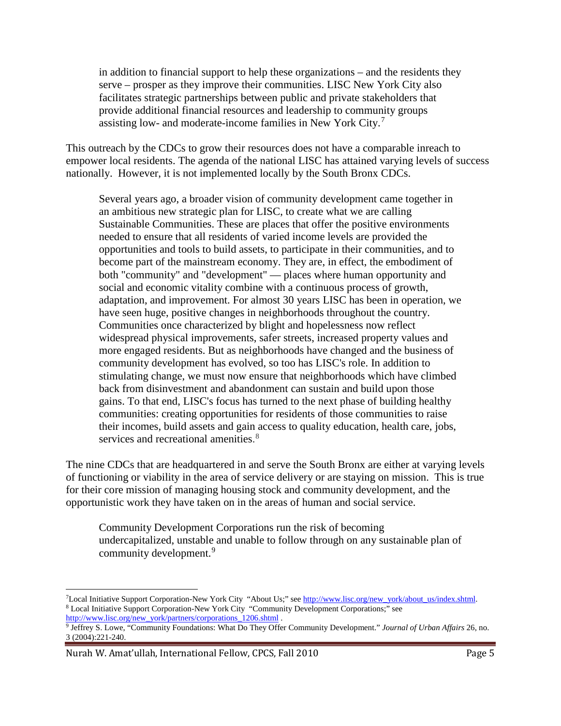in addition to financial support to help these organizations – and the residents they serve – prosper as they improve their communities. LISC New York City also facilitates strategic partnerships between public and private stakeholders that provide additional financial resources and leadership to community groups assisting low- and moderate-income families in New York City.[7](#page-6-0)

This outreach by the CDCs to grow their resources does not have a comparable inreach to empower local residents. The agenda of the national LISC has attained varying levels of success nationally. However, it is not implemented locally by the South Bronx CDCs.

Several years ago, a broader vision of community development came together in an ambitious new strategic plan for LISC, to create what we are calling Sustainable Communities. These are places that offer the positive environments needed to ensure that all residents of varied income levels are provided the opportunities and tools to build assets, to participate in their communities, and to become part of the mainstream economy. They are, in effect, the embodiment of both "community" and "development" — places where human opportunity and social and economic vitality combine with a continuous process of growth, adaptation, and improvement. For almost 30 years LISC has been in operation, we have seen huge, positive changes in neighborhoods throughout the country. Communities once characterized by blight and hopelessness now reflect widespread physical improvements, safer streets, increased property values and more engaged residents. But as neighborhoods have changed and the business of community development has evolved, so too has LISC's role. In addition to stimulating change, we must now ensure that neighborhoods which have climbed back from disinvestment and abandonment can sustain and build upon those gains. To that end, LISC's focus has turned to the next phase of building healthy communities: creating opportunities for residents of those communities to raise their incomes, build assets and gain access to quality education, health care, jobs, services and recreational amenities.<sup>[8](#page-6-1)</sup>

The nine CDCs that are headquartered in and serve the South Bronx are either at varying levels of functioning or viability in the area of service delivery or are staying on mission. This is true for their core mission of managing housing stock and community development, and the opportunistic work they have taken on in the areas of human and social service.

Community Development Corporations run the risk of becoming undercapitalized, unstable and unable to follow through on any sustainable plan of community development.<sup>[9](#page-6-2)</sup>

l

<span id="page-6-1"></span><span id="page-6-0"></span><sup>&</sup>lt;sup>7</sup>Local Initiative Support Corporation-New York City "About Us;" see [http://www.lisc.org/new\\_york/about\\_us/index.shtml.](http://www.lisc.org/new_york/about_us/index.shtml) 8 Local Initiative Support Corporation-New York City "Community Development Corporations;" see [http://www.lisc.org/new\\_york/partners/corporations\\_1206.shtml](http://www.lisc.org/new_york/partners/corporations_1206.shtml) .

<span id="page-6-2"></span><sup>9</sup> Jeffrey S. Lowe, "Community Foundations: What Do They Offer Community Development." *Journal of Urban Affairs* 26, no. 3 (2004):221-240.

Nurah W. Amat'ullah, International Fellow, CPCS, Fall 2010 **Page 5** Page 5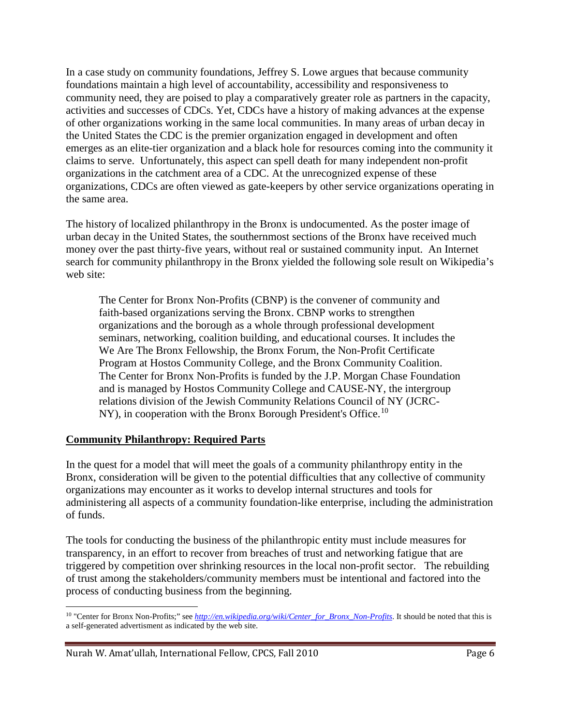In a case study on community foundations, Jeffrey S. Lowe argues that because community foundations maintain a high level of accountability, accessibility and responsiveness to community need, they are poised to play a comparatively greater role as partners in the capacity, activities and successes of CDCs. Yet, CDCs have a history of making advances at the expense of other organizations working in the same local communities. In many areas of urban decay in the United States the CDC is the premier organization engaged in development and often emerges as an elite-tier organization and a black hole for resources coming into the community it claims to serve. Unfortunately, this aspect can spell death for many independent non-profit organizations in the catchment area of a CDC. At the unrecognized expense of these organizations, CDCs are often viewed as gate-keepers by other service organizations operating in the same area.

The history of localized philanthropy in the Bronx is undocumented. As the poster image of urban decay in the United States, the southernmost sections of the Bronx have received much money over the past thirty-five years, without real or sustained community input. An Internet search for community philanthropy in the Bronx yielded the following sole result on Wikipedia's web site:

The Center for Bronx Non-Profits (CBNP) is the convener of community and faith-based organizations serving the Bronx. CBNP works to strengthen organizations and the borough as a whole through professional development seminars, networking, coalition building, and educational courses. It includes the We Are The Bronx Fellowship, the Bronx Forum, the Non-Profit Certificate Program at Hostos Community College, and the Bronx Community Coalition. The Center for Bronx Non-Profits is funded by the J.P. Morgan Chase Foundation and is managed by Hostos Community College and CAUSE-NY, the intergroup relations division of the Jewish Community Relations Council of NY (JCRC- $NY$ ), in cooperation with the Bronx Borough President's Office.<sup>[10](#page-7-0)</sup>

#### **Community Philanthropy: Required Parts**

In the quest for a model that will meet the goals of a community philanthropy entity in the Bronx, consideration will be given to the potential difficulties that any collective of community organizations may encounter as it works to develop internal structures and tools for administering all aspects of a community foundation-like enterprise, including the administration of funds.

The tools for conducting the business of the philanthropic entity must include measures for transparency, in an effort to recover from breaches of trust and networking fatigue that are triggered by competition over shrinking resources in the local non-profit sector. The rebuilding of trust among the stakeholders/community members must be intentional and factored into the process of conducting business from the beginning.

<span id="page-7-0"></span><sup>&</sup>lt;sup>10</sup> "Center for Bronx Non-Profits;" see *http://en.wikipedia.org/wiki/Center for Bronx\_Non-Profits*. It should be noted that this is a self-generated advertisment as indicated by the web site. l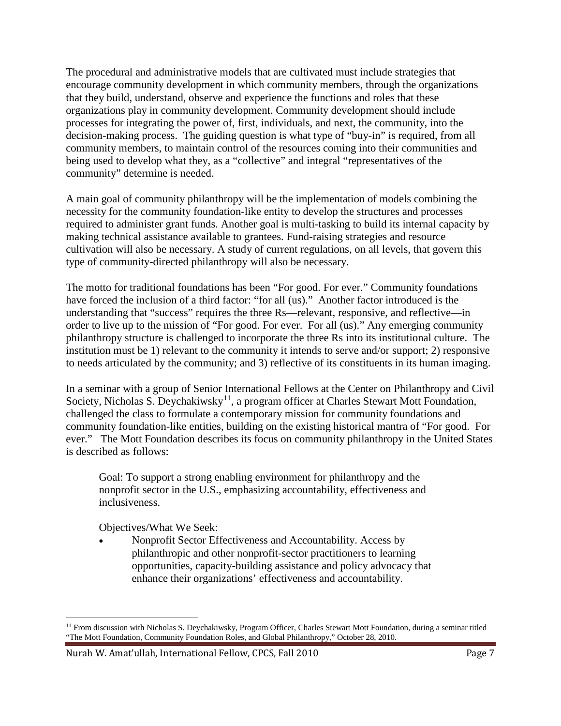The procedural and administrative models that are cultivated must include strategies that encourage community development in which community members, through the organizations that they build, understand, observe and experience the functions and roles that these organizations play in community development. Community development should include processes for integrating the power of, first, individuals, and next, the community, into the decision-making process. The guiding question is what type of "buy-in" is required, from all community members, to maintain control of the resources coming into their communities and being used to develop what they, as a "collective" and integral "representatives of the community" determine is needed.

A main goal of community philanthropy will be the implementation of models combining the necessity for the community foundation-like entity to develop the structures and processes required to administer grant funds. Another goal is multi-tasking to build its internal capacity by making technical assistance available to grantees. Fund-raising strategies and resource cultivation will also be necessary. A study of current regulations, on all levels, that govern this type of community-directed philanthropy will also be necessary.

The motto for traditional foundations has been "For good. For ever." Community foundations have forced the inclusion of a third factor: "for all (us)." Another factor introduced is the understanding that "success" requires the three Rs—relevant, responsive, and reflective—in order to live up to the mission of "For good. For ever. For all (us)." Any emerging community philanthropy structure is challenged to incorporate the three Rs into its institutional culture. The institution must be 1) relevant to the community it intends to serve and/or support; 2) responsive to needs articulated by the community; and 3) reflective of its constituents in its human imaging.

In a seminar with a group of Senior International Fellows at the Center on Philanthropy and Civil Society, Nicholas S. Deychakiwsky<sup>[11](#page-8-0)</sup>, a program officer at Charles Stewart Mott Foundation, challenged the class to formulate a contemporary mission for community foundations and community foundation-like entities, building on the existing historical mantra of "For good. For ever." The Mott Foundation describes its focus on community philanthropy in the United States is described as follows:

Goal: To support a strong enabling environment for philanthropy and the nonprofit sector in the U.S., emphasizing accountability, effectiveness and inclusiveness.

Objectives/What We Seek:

• Nonprofit Sector Effectiveness and Accountability. Access by philanthropic and other nonprofit-sector practitioners to learning opportunities, capacity-building assistance and policy advocacy that enhance their organizations' effectiveness and accountability.

<span id="page-8-0"></span><sup>&</sup>lt;sup>11</sup> From discussion with Nicholas S. Deychakiwsky, Program Officer, Charles Stewart Mott Foundation, during a seminar titled "The Mott Foundation, Community Foundation Roles, and Global Philanthropy," October 28, 2010.  $\overline{\phantom{a}}$ 

Nurah W. Amat'ullah, International Fellow, CPCS, Fall 2010 **Page 7** Page 7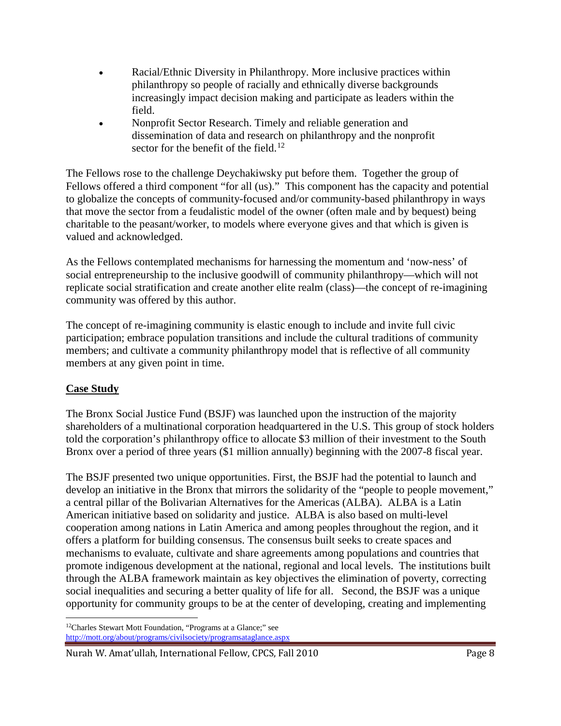- Racial/Ethnic Diversity in Philanthropy. More inclusive practices within philanthropy so people of racially and ethnically diverse backgrounds increasingly impact decision making and participate as leaders within the field.
- Nonprofit Sector Research. Timely and reliable generation and dissemination of data and research on philanthropy and the nonprofit sector for the benefit of the field.<sup>[12](#page-9-0)</sup>

The Fellows rose to the challenge Deychakiwsky put before them. Together the group of Fellows offered a third component "for all (us)." This component has the capacity and potential to globalize the concepts of community-focused and/or community-based philanthropy in ways that move the sector from a feudalistic model of the owner (often male and by bequest) being charitable to the peasant/worker, to models where everyone gives and that which is given is valued and acknowledged.

As the Fellows contemplated mechanisms for harnessing the momentum and 'now-ness' of social entrepreneurship to the inclusive goodwill of community philanthropy—which will not replicate social stratification and create another elite realm (class)—the concept of re-imagining community was offered by this author.

The concept of re-imagining community is elastic enough to include and invite full civic participation; embrace population transitions and include the cultural traditions of community members; and cultivate a community philanthropy model that is reflective of all community members at any given point in time.

## **Case Study**

The Bronx Social Justice Fund (BSJF) was launched upon the instruction of the majority shareholders of a multinational corporation headquartered in the U.S. This group of stock holders told the corporation's philanthropy office to allocate \$3 million of their investment to the South Bronx over a period of three years (\$1 million annually) beginning with the 2007-8 fiscal year.

The BSJF presented two unique opportunities. First, the BSJF had the potential to launch and develop an initiative in the Bronx that mirrors the solidarity of the "people to people movement," a central pillar of the Bolivarian Alternatives for the Americas (ALBA). ALBA is a Latin American initiative based on solidarity and justice. ALBA is also based on multi-level cooperation among nations in Latin America and among peoples throughout the region, and it offers a platform for building consensus. The consensus built seeks to create spaces and mechanisms to evaluate, cultivate and share agreements among populations and countries that promote indigenous development at the national, regional and local levels. The institutions built through the ALBA framework maintain as key objectives the elimination of poverty, correcting social inequalities and securing a better quality of life for all. Second, the BSJF was a unique opportunity for community groups to be at the center of developing, creating and implementing

<span id="page-9-0"></span><sup>12</sup>Charles Stewart Mott Foundation, "Programs at a Glance;" see <http://mott.org/about/programs/civilsociety/programsataglance.aspx>  $\overline{\phantom{a}}$ 

Nurah W. Amat'ullah, International Fellow, CPCS, Fall 2010 **Page 8** Page 8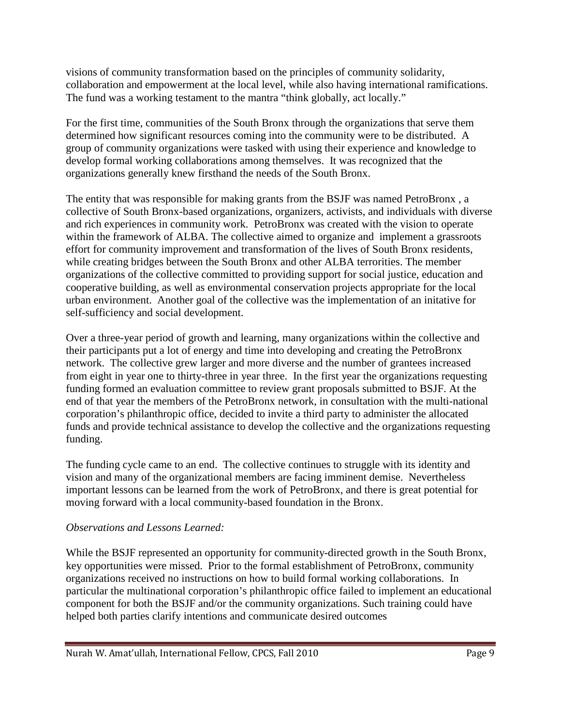visions of community transformation based on the principles of community solidarity, collaboration and empowerment at the local level, while also having international ramifications. The fund was a working testament to the mantra "think globally, act locally."

For the first time, communities of the South Bronx through the organizations that serve them determined how significant resources coming into the community were to be distributed. A group of community organizations were tasked with using their experience and knowledge to develop formal working collaborations among themselves. It was recognized that the organizations generally knew firsthand the needs of the South Bronx.

The entity that was responsible for making grants from the BSJF was named PetroBronx , a collective of South Bronx-based organizations, organizers, activists, and individuals with diverse and rich experiences in community work. PetroBronx was created with the vision to operate within the framework of ALBA. The collective aimed to organize and implement a grassroots effort for community improvement and transformation of the lives of South Bronx residents, while creating bridges between the South Bronx and other ALBA terrorities. The member organizations of the collective committed to providing support for social justice, education and cooperative building, as well as environmental conservation projects appropriate for the local urban environment. Another goal of the collective was the implementation of an initative for self-sufficiency and social development.

Over a three-year period of growth and learning, many organizations within the collective and their participants put a lot of energy and time into developing and creating the PetroBronx network. The collective grew larger and more diverse and the number of grantees increased from eight in year one to thirty-three in year three. In the first year the organizations requesting funding formed an evaluation committee to review grant proposals submitted to BSJF. At the end of that year the members of the PetroBronx network, in consultation with the multi-national corporation's philanthropic office, decided to invite a third party to administer the allocated funds and provide technical assistance to develop the collective and the organizations requesting funding.

The funding cycle came to an end. The collective continues to struggle with its identity and vision and many of the organizational members are facing imminent demise. Nevertheless important lessons can be learned from the work of PetroBronx, and there is great potential for moving forward with a local community-based foundation in the Bronx.

## *Observations and Lessons Learned:*

While the BSJF represented an opportunity for community-directed growth in the South Bronx, key opportunities were missed. Prior to the formal establishment of PetroBronx, community organizations received no instructions on how to build formal working collaborations. In particular the multinational corporation's philanthropic office failed to implement an educational component for both the BSJF and/or the community organizations. Such training could have helped both parties clarify intentions and communicate desired outcomes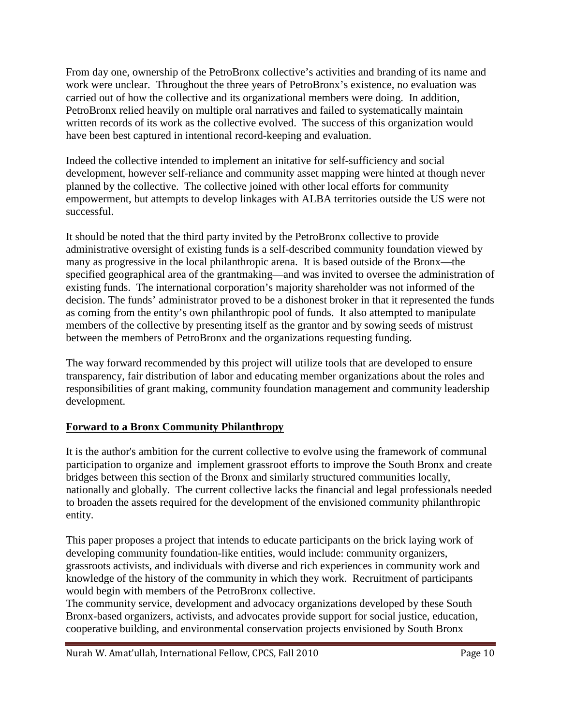From day one, ownership of the PetroBronx collective's activities and branding of its name and work were unclear. Throughout the three years of PetroBronx's existence, no evaluation was carried out of how the collective and its organizational members were doing. In addition, PetroBronx relied heavily on multiple oral narratives and failed to systematically maintain written records of its work as the collective evolved. The success of this organization would have been best captured in intentional record-keeping and evaluation.

Indeed the collective intended to implement an initative for self-sufficiency and social development, however self-reliance and community asset mapping were hinted at though never planned by the collective. The collective joined with other local efforts for community empowerment, but attempts to develop linkages with ALBA territories outside the US were not successful.

It should be noted that the third party invited by the PetroBronx collective to provide administrative oversight of existing funds is a self-described community foundation viewed by many as progressive in the local philanthropic arena. It is based outside of the Bronx—the specified geographical area of the grantmaking—and was invited to oversee the administration of existing funds. The international corporation's majority shareholder was not informed of the decision. The funds' administrator proved to be a dishonest broker in that it represented the funds as coming from the entity's own philanthropic pool of funds. It also attempted to manipulate members of the collective by presenting itself as the grantor and by sowing seeds of mistrust between the members of PetroBronx and the organizations requesting funding.

The way forward recommended by this project will utilize tools that are developed to ensure transparency, fair distribution of labor and educating member organizations about the roles and responsibilities of grant making, community foundation management and community leadership development.

## **Forward to a Bronx Community Philanthropy**

It is the author's ambition for the current collective to evolve using the framework of communal participation to organize and implement grassroot efforts to improve the South Bronx and create bridges between this section of the Bronx and similarly structured communities locally, nationally and globally. The current collective lacks the financial and legal professionals needed to broaden the assets required for the development of the envisioned community philanthropic entity.

This paper proposes a project that intends to educate participants on the brick laying work of developing community foundation-like entities, would include: community organizers, grassroots activists, and individuals with diverse and rich experiences in community work and knowledge of the history of the community in which they work. Recruitment of participants would begin with members of the PetroBronx collective.

The community service, development and advocacy organizations developed by these South Bronx-based organizers, activists, and advocates provide support for social justice, education, cooperative building, and environmental conservation projects envisioned by South Bronx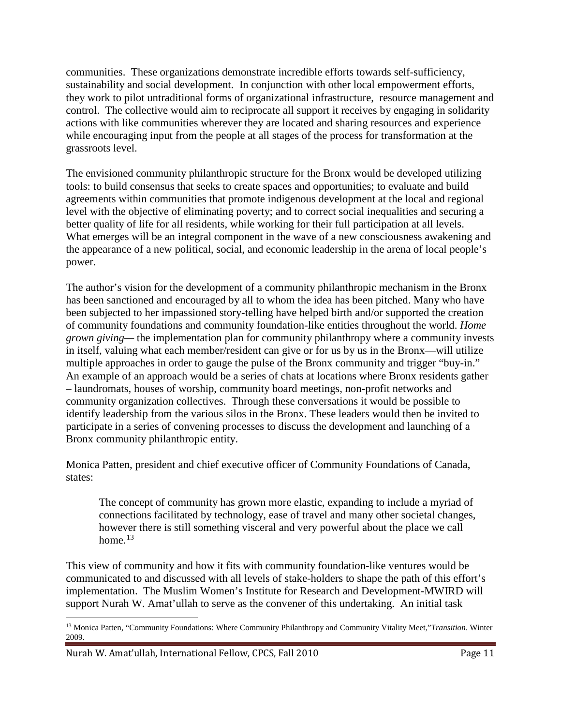communities. These organizations demonstrate incredible efforts towards self-sufficiency, sustainability and social development. In conjunction with other local empowerment efforts, they work to pilot untraditional forms of organizational infrastructure, resource management and control. The collective would aim to reciprocate all support it receives by engaging in solidarity actions with like communities wherever they are located and sharing resources and experience while encouraging input from the people at all stages of the process for transformation at the grassroots level.

The envisioned community philanthropic structure for the Bronx would be developed utilizing tools: to build consensus that seeks to create spaces and opportunities; to evaluate and build agreements within communities that promote indigenous development at the local and regional level with the objective of eliminating poverty; and to correct social inequalities and securing a better quality of life for all residents, while working for their full participation at all levels. What emerges will be an integral component in the wave of a new consciousness awakening and the appearance of a new political, social, and economic leadership in the arena of local people's power.

The author's vision for the development of a community philanthropic mechanism in the Bronx has been sanctioned and encouraged by all to whom the idea has been pitched. Many who have been subjected to her impassioned story-telling have helped birth and/or supported the creation of community foundations and community foundation-like entities throughout the world. *Home grown giving—* the implementation plan for community philanthropy where a community invests in itself, valuing what each member/resident can give or for us by us in the Bronx—will utilize multiple approaches in order to gauge the pulse of the Bronx community and trigger "buy-in." An example of an approach would be a series of chats at locations where Bronx residents gather – laundromats, houses of worship, community board meetings, non-profit networks and community organization collectives. Through these conversations it would be possible to identify leadership from the various silos in the Bronx. These leaders would then be invited to participate in a series of convening processes to discuss the development and launching of a Bronx community philanthropic entity.

Monica Patten, president and chief executive officer of Community Foundations of Canada, states:

The concept of community has grown more elastic, expanding to include a myriad of connections facilitated by technology, ease of travel and many other societal changes, however there is still something visceral and very powerful about the place we call home. $13$ 

This view of community and how it fits with community foundation-like ventures would be communicated to and discussed with all levels of stake-holders to shape the path of this effort's implementation. The Muslim Women's Institute for Research and Development-MWIRD will support Nurah W. Amat'ullah to serve as the convener of this undertaking. An initial task

<span id="page-12-0"></span><sup>13</sup> Monica Patten, "Community Foundations: Where Community Philanthropy and Community Vitality Meet,"*Transition.* Winter 2009.  $\overline{\phantom{a}}$ 

Nurah W. Amat'ullah, International Fellow, CPCS, Fall 2010 Page 11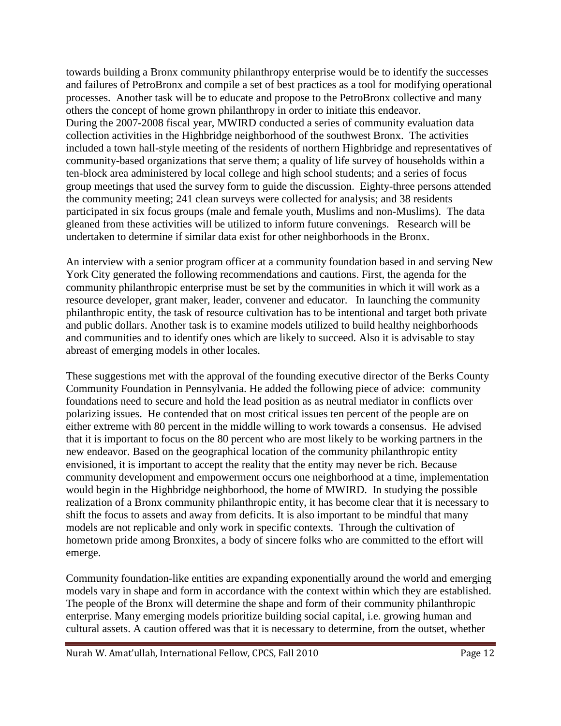towards building a Bronx community philanthropy enterprise would be to identify the successes and failures of PetroBronx and compile a set of best practices as a tool for modifying operational processes. Another task will be to educate and propose to the PetroBronx collective and many others the concept of home grown philanthropy in order to initiate this endeavor. During the 2007-2008 fiscal year, MWIRD conducted a series of community evaluation data collection activities in the Highbridge neighborhood of the southwest Bronx. The activities included a town hall-style meeting of the residents of northern Highbridge and representatives of community-based organizations that serve them; a quality of life survey of households within a ten-block area administered by local college and high school students; and a series of focus group meetings that used the survey form to guide the discussion. Eighty-three persons attended the community meeting; 241 clean surveys were collected for analysis; and 38 residents participated in six focus groups (male and female youth, Muslims and non-Muslims). The data gleaned from these activities will be utilized to inform future convenings. Research will be undertaken to determine if similar data exist for other neighborhoods in the Bronx.

An interview with a senior program officer at a community foundation based in and serving New York City generated the following recommendations and cautions. First, the agenda for the community philanthropic enterprise must be set by the communities in which it will work as a resource developer, grant maker, leader, convener and educator. In launching the community philanthropic entity, the task of resource cultivation has to be intentional and target both private and public dollars. Another task is to examine models utilized to build healthy neighborhoods and communities and to identify ones which are likely to succeed. Also it is advisable to stay abreast of emerging models in other locales.

These suggestions met with the approval of the founding executive director of the Berks County Community Foundation in Pennsylvania. He added the following piece of advice: community foundations need to secure and hold the lead position as as neutral mediator in conflicts over polarizing issues. He contended that on most critical issues ten percent of the people are on either extreme with 80 percent in the middle willing to work towards a consensus. He advised that it is important to focus on the 80 percent who are most likely to be working partners in the new endeavor. Based on the geographical location of the community philanthropic entity envisioned, it is important to accept the reality that the entity may never be rich. Because community development and empowerment occurs one neighborhood at a time, implementation would begin in the Highbridge neighborhood, the home of MWIRD. In studying the possible realization of a Bronx community philanthropic entity, it has become clear that it is necessary to shift the focus to assets and away from deficits. It is also important to be mindful that many models are not replicable and only work in specific contexts. Through the cultivation of hometown pride among Bronxites, a body of sincere folks who are committed to the effort will emerge.

Community foundation-like entities are expanding exponentially around the world and emerging models vary in shape and form in accordance with the context within which they are established. The people of the Bronx will determine the shape and form of their community philanthropic enterprise. Many emerging models prioritize building social capital, i.e. growing human and cultural assets. A caution offered was that it is necessary to determine, from the outset, whether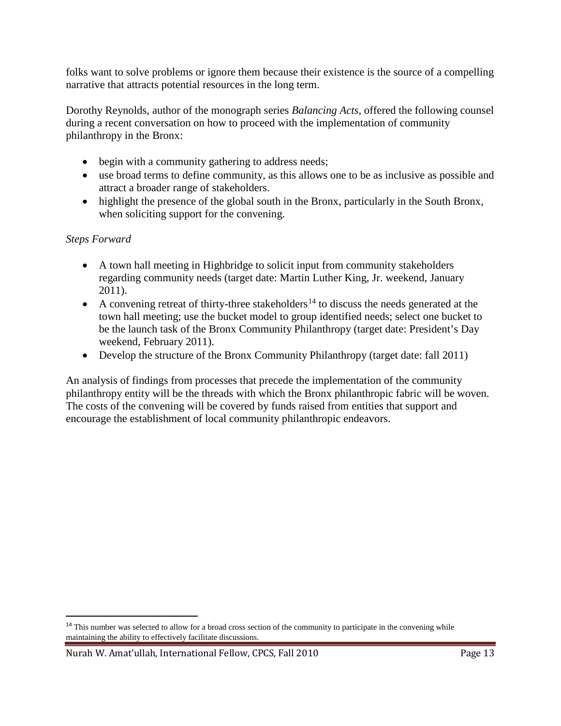folks want to solve problems or ignore them because their existence is the source of a compelling narrative that attracts potential resources in the long term.

Dorothy Reynolds, author of the monograph series *Balancing Acts*, offered the following counsel during a recent conversation on how to proceed with the implementation of community philanthropy in the Bronx:

- begin with a community gathering to address needs;
- use broad terms to define community, as this allows one to be as inclusive as possible and attract a broader range of stakeholders.
- highlight the presence of the global south in the Bronx, particularly in the South Bronx, when soliciting support for the convening.

# *Steps Forward*

 $\overline{\phantom{a}}$ 

- A town hall meeting in Highbridge to solicit input from community stakeholders regarding community needs (target date: Martin Luther King, Jr. weekend, January 2011).
- A convening retreat of thirty-three stakeholders<sup>[14](#page-14-0)</sup> to discuss the needs generated at the town hall meeting; use the bucket model to group identified needs; select one bucket to be the launch task of the Bronx Community Philanthropy (target date: President's Day weekend, February 2011).
- Develop the structure of the Bronx Community Philanthropy (target date: fall 2011)

An analysis of findings from processes that precede the implementation of the community philanthropy entity will be the threads with which the Bronx philanthropic fabric will be woven. The costs of the convening will be covered by funds raised from entities that support and encourage the establishment of local community philanthropic endeavors.

<span id="page-14-0"></span><sup>&</sup>lt;sup>14</sup> This number was selected to allow for a broad cross section of the community to participate in the convening while maintaining the ability to effectively facilitate discussions.

Nurah W. Amat'ullah, International Fellow, CPCS, Fall 2010 Page 13